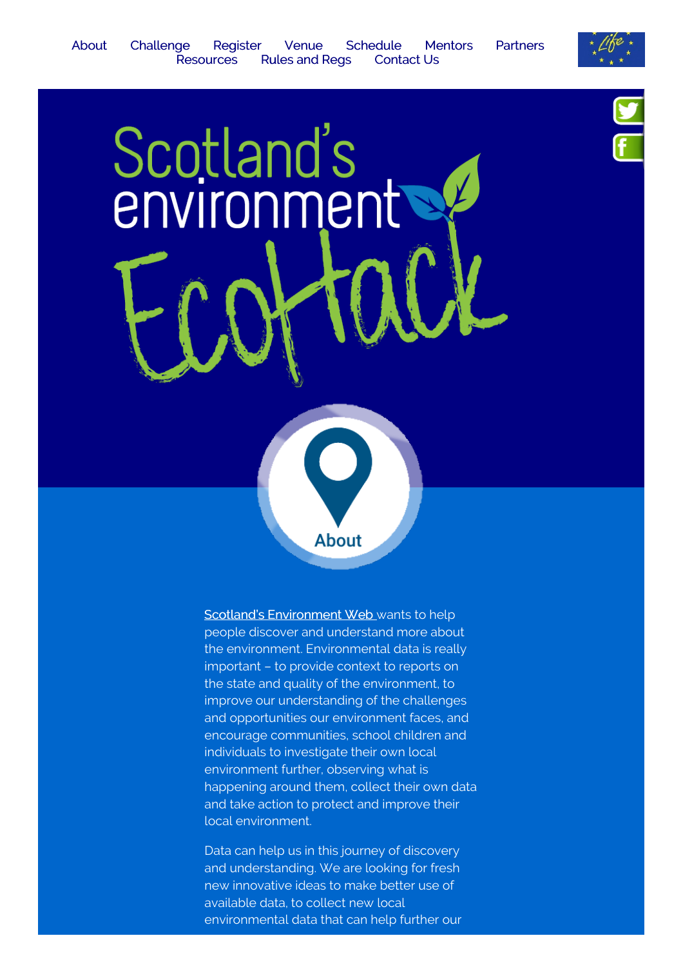

<span id="page-0-0"></span>Scotland's [Environment](http://www.environment.scotland.gov.uk/) Web wants to help people discover and understand more about the environment. Environmental data is really important – to provide context to reports on the state and quality of the environment, to improve our understanding of the challenges and opportunities our environment faces, and encourage communities, school children and individuals to investigate their own local environment further, observing what is happening around them, collect their own data and take action to protect and improve their local environment.

About

Data can help us in this journey of discovery and understanding. We are looking for fresh new innovative ideas to make better use of available data, to collect new local environmental data that can help further our



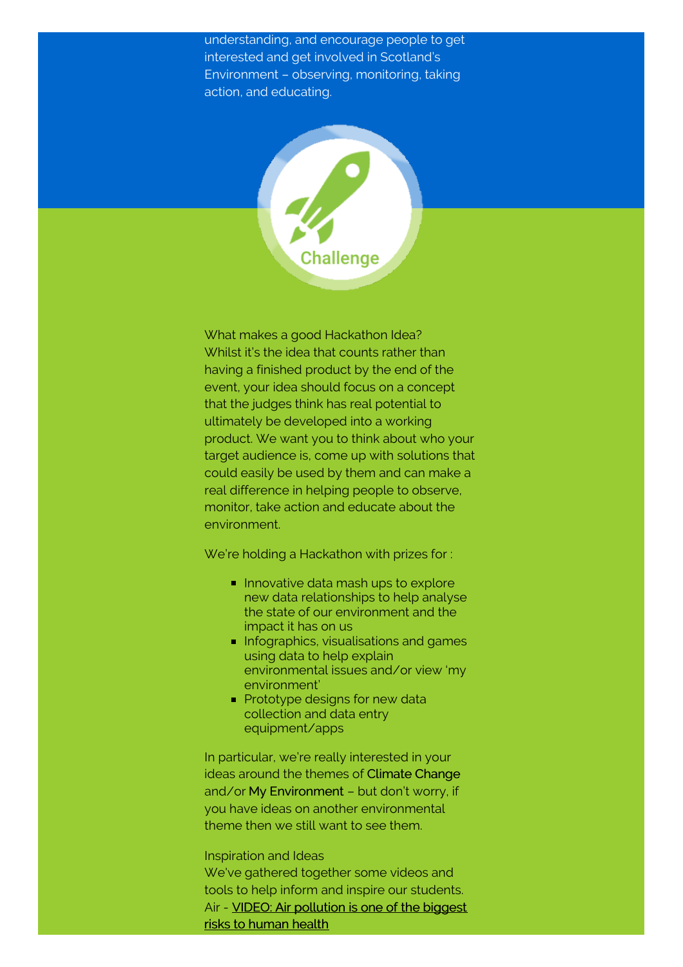understanding, and encourage people to get interested and get involved in Scotland's Environment – observing, monitoring, taking action, and educating.

<span id="page-1-0"></span>

What makes a good Hackathon Idea? Whilst it's the idea that counts rather than having a finished product by the end of the event, your idea should focus on a concept that the judges think has real potential to ultimately be developed into a working product. We want you to think about who your target audience is, come up with solutions that could easily be used by them and can make a real difference in helping people to observe, monitor, take action and educate about the environment.

We're holding a Hackathon with prizes for :

- Innovative data mash ups to explore new data relationships to help analyse the state of our environment and the impact it has on us
- **Infographics, visualisations and games** using data to help explain environmental issues and/or view 'my environment'
- **Prototype designs for new data** collection and data entry equipment/apps

In particular, we're really interested in your ideas around the themes of Climate Change and/or My Environment – but don't worry, if you have ideas on another environmental theme then we still want to see them.

Inspiration and Ideas We've gathered together some videos and tools to help inform and inspire our students. Air - VIDEO: Air [pollution](http://www.sepa.org.uk/making-the-case/media-items/?topic=Air&id=5997) is one of the biggest risks to human health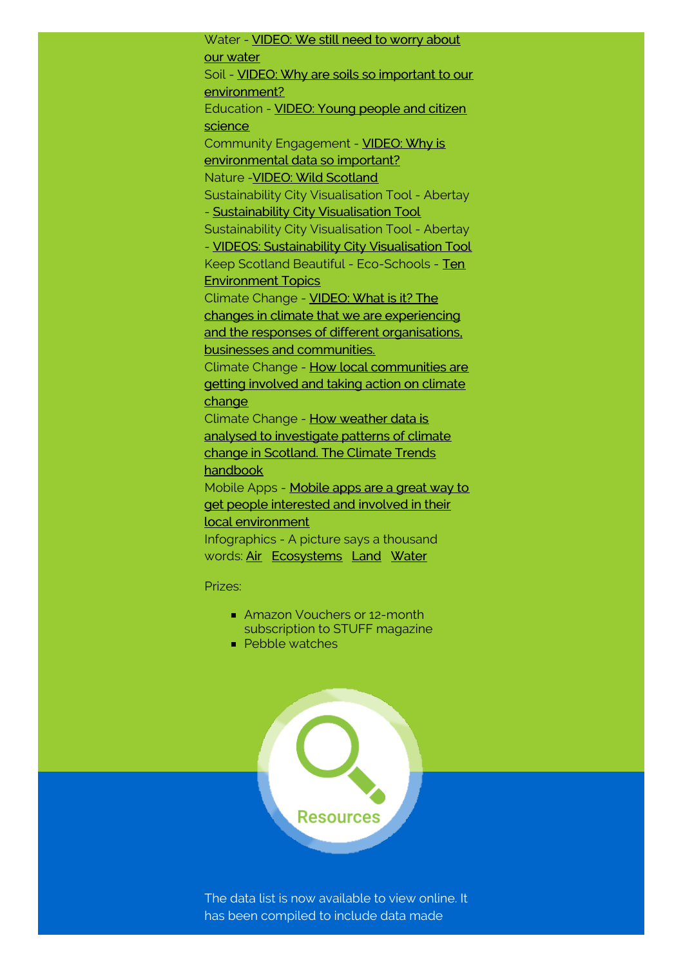Water - **[VIDEO:](http://www.sepa.org.uk/making-the-case/media-items/?topic=Water&id=6001) We still need to worry about** our water Soil - VIDEO: Why are soils so important to our [environment?](http://www.sepa.org.uk/making-the-case/media-items/?topic=Soil&id=5803) [Education](https://www.youtube.com/watch?v=i-lD2MI18UQ) - VIDEO: Young people and citizen science Community Engagement - VIDEO: Why is [environmental](https://www.youtube.com/watch?v=GWLZDesHQTk) data so important? Nature -VIDEO: Wild [Scotland](https://www.youtube.com/watch?v=CvGhmrsrkL8) Sustainability City Visualisation Tool - Abertay - [Sustainability](http://save.abertay.ac.uk/scityvt.html) City Visualisation Tool Sustainability City Visualisation Tool - Abertay - VIDEOS: [Sustainability](http://save.abertay.ac.uk/videos.html) City Visualisation Tool Keep Scotland Beautiful - [Eco-Schools](http://www.keepscotlandbeautiful.org/sustainable-development-education/eco-schools/ten-topics/) - Ten Environment Topics Climate Change - VIDEO: What is it? The changes in climate that we are experiencing and the responses of different [organisations,](https://vimeo.com/67719422#at=171) businesses and communities. Climate Change - How local [communities](http://www.adaptationscotland.org.uk/2/123/0/Local-climate-stories.aspx) are getting involved and taking action on climate change Climate Change - How weather data is analysed to [investigate](http://www.environment.scotland.gov.uk/climate_trends_handbook/index.html) patterns of climate change in Scotland. The Climate Trends handbook Mobile Apps - Mobile apps are a great way to get people interested and involved in their local [environment](http://www.environment.scotland.gov.uk/get-involved/mobile-apps/) Infographics - A picture says a thousand words: [Air](http://www.environment.scotland.gov.uk/media/100297/scotlands-air-infographic.pdf ) [Ecosystems](http://www.environment.scotland.gov.uk/media/71300/sepa-ecosystems.pdf) [Land](http://www.environment.scotland.gov.uk/media/100290/land-infographic.pdf) [Water](http://www.environment.scotland.gov.uk/media/100293/water-infographic.pdf)

Prizes:

- Amazon Vouchers or 12-month subscription to STUFF magazine
- **Pebble watches**

<span id="page-2-0"></span>

The data list is now available to view online. It has been compiled to include data made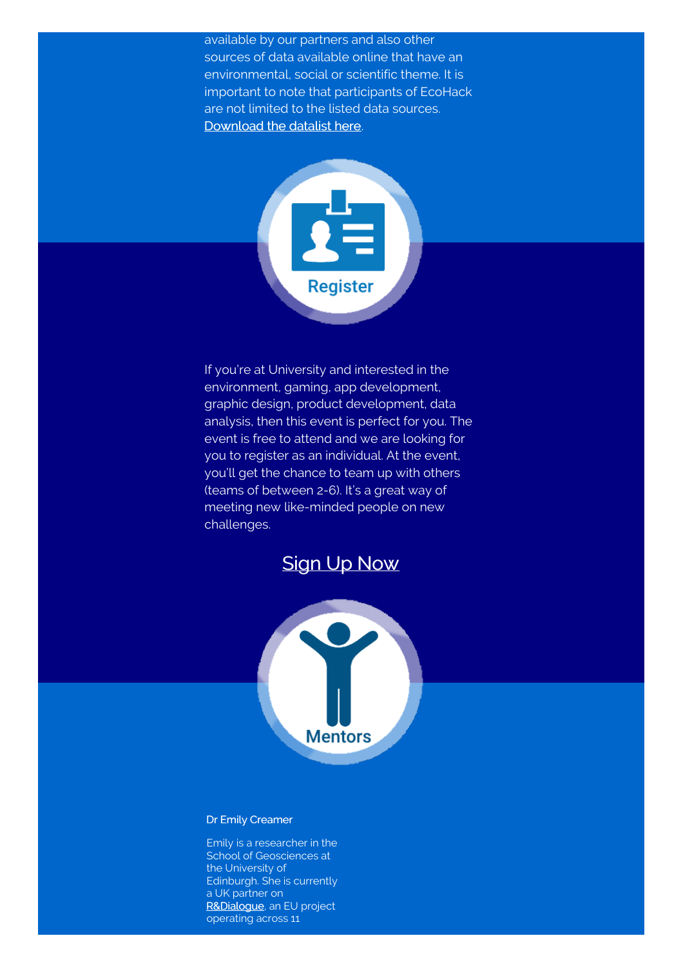available by our partners and also other sources of data available online that have an environmental, social or scientific theme. It is important to note that participants of EcoHack are not limited to the listed data sources. [Download](http://www.environment.scotland.gov.uk/media/100376/ecohack-dataset-list.pdf) the datalist here.

<span id="page-3-0"></span>

If you're at University and interested in the environment, gaming, app development, graphic design, product development, data analysis, then this event is perfect for you. The event is free to attend and we are looking for you to register as an individual. At the event, you'll get the chance to team up with others (teams of between 2-6). It's a great way of meeting new like-minded people on new challenges.



<span id="page-3-1"></span>

# Dr Emily Creamer

Emily is a researcher in the School of Geosciences at the University of Edinburgh. She is currently a UK partner on [R&Dialogue](http://www.rndialogue.eu), an EU project operating across 11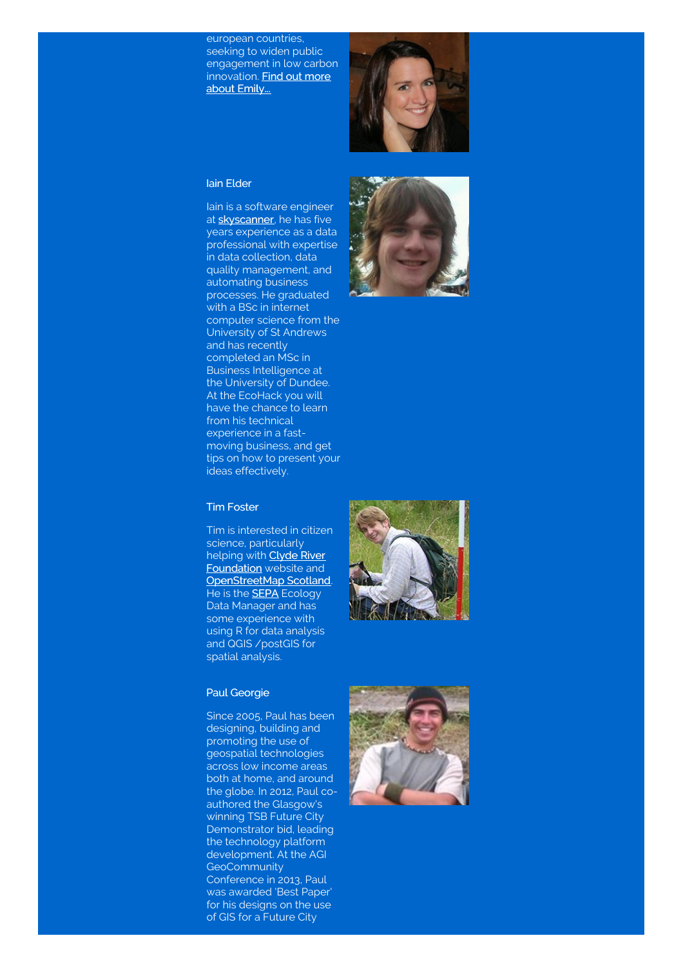european countries, seeking to widen public engagement in low carbon [innovation.](http://www.geos.ed.ac.uk/homes/s0941684/) Find out more about Emily...



#### Iain Elder

Iain is a software engineer at **[skyscanner](http://www.skyscanner.net/)**, he has five years experience as a data professional with expertise in data collection, data quality management, and automating business processes. He graduated with a BSc in internet computer science from the University of St Andrews and has recently completed an MSc in Business Intelligence at the University of Dundee. At the EcoHack you will have the chance to learn from his technical experience in a fastmoving business, and get tips on how to present your ideas effectively.



#### Tim Foster

Tim is interested in citizen science, particularly helping with **Clyde River [Foundation](http://www.clyderiverfoundation.org/)** website and [OpenStreetMap](http://openstreetmapscotland.org/) Scotland. He is the **[SEPA](http://www.sepa.org.uk/)** Ecology Data Manager and has some experience with using R for data analysis and QGIS /postGIS for spatial analysis.

#### Paul Georgie

Since 2005, Paul has been designing, building and promoting the use of geospatial technologies across low income areas both at home, and around the globe. In 2012, Paul coauthored the Glasgow's winning TSB Future City Demonstrator bid, leading the technology platform development. At the AGI **GeoCommunity** Conference in 2013, Paul was awarded 'Best Paper' for his designs on the use of GIS for a Future City



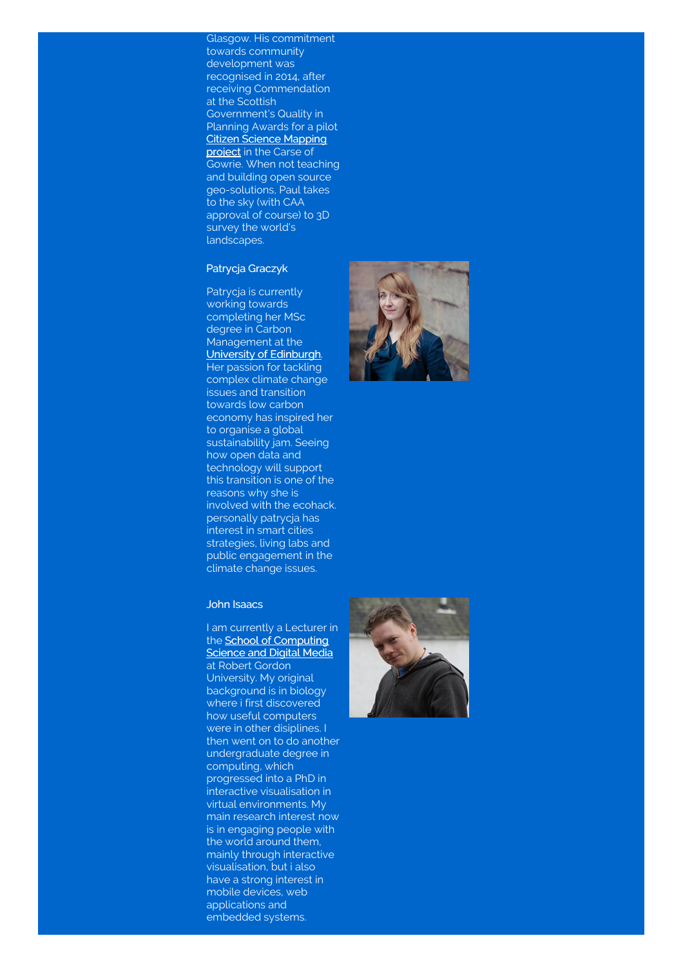Glasgow. His commitment towards community development was recognised in 2014, after receiving Commendation at the Scottish Government's Quality in Planning Awards for a pilot Citizen Science [Mapping](http://www.geogeoglobal.com/news/2013/6/citizen-science-mapping-pilots-in-scotland) project in the Carse of Gowrie. When not teaching and building open source geo-solutions, Paul takes to the sky (with CAA approval of course) to 3D survey the world's landscapes.

#### Patrycja Graczyk

Patrycja is currently working towards completing her MSc degree in Carbon Management at the University of [Edinburgh](http://www.ed.ac.uk/home). Her passion for tackling complex climate change issues and transition towards low carbon economy has inspired her to organise a global sustainability jam. Seeing how open data and technology will support this transition is one of the reasons why she is involved with the ecohack. personally patrycja has interest in smart cities strategies, living labs and public engagement in the climate change issues.

#### John Isaacs

I am currently a Lecturer in the School of [Computing](http://www.rgu.ac.uk/about/faculties-schools-and-departments/faculty-of-design-and-technology/school-of-computing-science-and-digital-media) **Science and Digital Media** at Robert Gordon University. My original background is in biology where i first discovered how useful computers were in other disiplines. then went on to do another undergraduate degree in

computing, which progressed into a PhD in interactive visualisation in virtual environments. My main research interest now is in engaging people with the world around them, mainly through interactive visualisation, but i also have a strong interest in mobile devices, web applications and embedded systems.



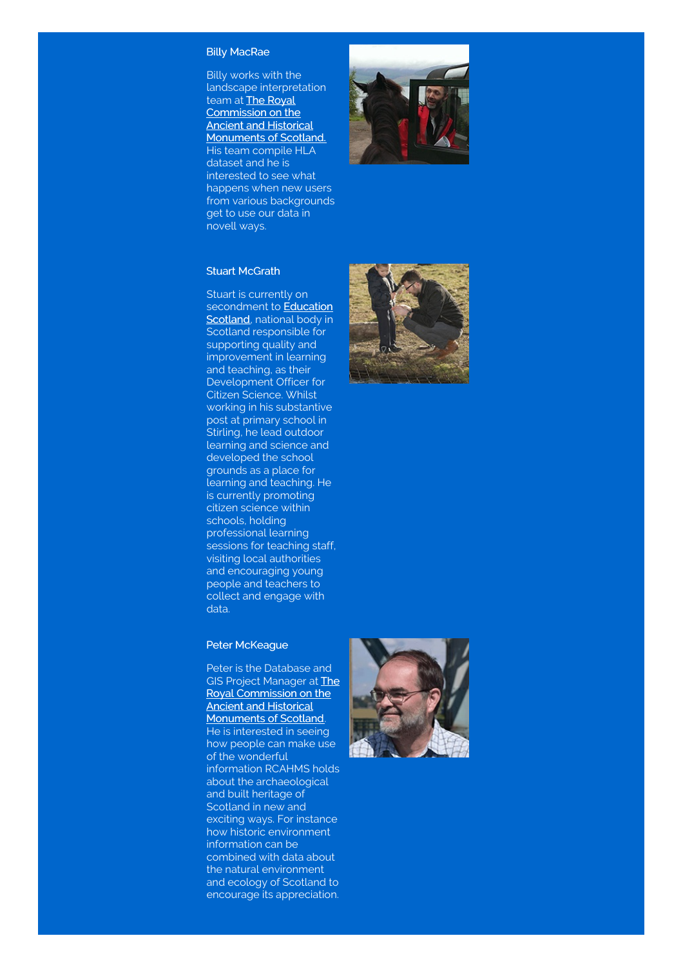#### Billy MacRae

Billy works with the landscape interpretation team at **The Royal** [Commission](http://www.rcahms.gov.uk/) on the Ancient and Historical Monuments of Scotland. His team compile HLA dataset and he is interested to see what happens when new users from various backgrounds get to use our data in novell ways.



### Stuart McGrath

Stuart is currently on [secondment](http://www.educationscotland.gov.uk/) to **Education** Scotland, national body in Scotland responsible for supporting quality and improvement in learning and teaching, as their Development Officer for Citizen Science. Whilst working in his substantive post at primary school in Stirling, he lead outdoor learning and science and developed the school grounds as a place for learning and teaching. He is currently promoting citizen science within schools, holding professional learning sessions for teaching staff, visiting local authorities and encouraging young people and teachers to collect and engage with data.

#### Peter McKeague

Peter is the Database and GIS Project Manager at **The** Royal [Commission](http://www.rcahms.gov.uk/) on the Ancient and Historical Monuments of Scotland. He is interested in seeing how people can make use of the wonderful information RCAHMS holds about the archaeological and built heritage of Scotland in new and exciting ways. For instance how historic environment information can be combined with data about the natural environment and ecology of Scotland to encourage its appreciation.



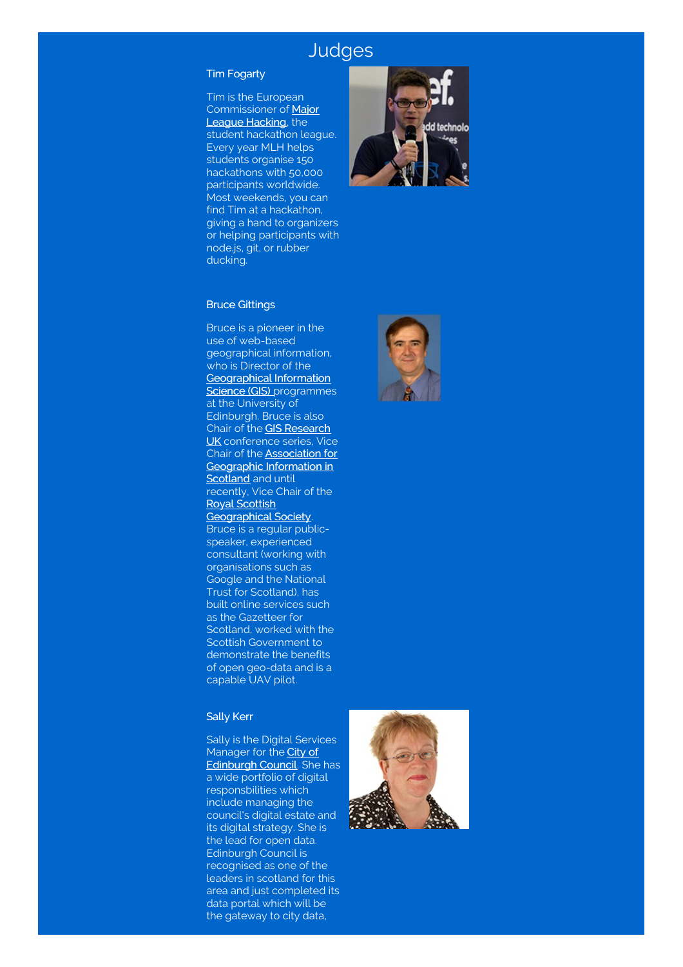# **Judges**

### Tim Fogarty

Tim is the European [Commissioner](https://mlh.io/) of Major League Hacking, the student hackathon league. Every year MLH helps students organise 150 hackathons with 50,000 participants worldwide. Most weekends, you can find Tim at a hackathon, giving a hand to organizers or helping participants with node.js, git, or rubber ducking.



#### Bruce Gittings

Bruce is a pioneer in the use of web-based geographical information, who is Director of the [Geographical](http://www.geos.ed.ac.uk/gis/) Information Science (GIS) programmes at the University of Edinburgh. Bruce is also Chair of the GIS Research UK [conference](http://gis.geos.ed.ac.uk/gisruk/) series, Vice Chair of the Association for [Geographic](http://www.agiscotland.org.uk) Information in Scotland and until recently, Vice Chair of the Royal Scottish [Geographical](http://www.rsgs.org) Society. Bruce is a regular publicspeaker, experienced consultant (working with organisations such as Google and the National Trust for Scotland), has built online services such as the Gazetteer for Scotland, worked with the Scottish Government to demonstrate the benefits of open geo-data and is a capable UAV pilot.

#### Sally Kerr

Sally is the Digital Services Manager for the **City of [Edinburgh](http://www.edinburgh.gov.uk/) Council**. She has a wide portfolio of digital responsbilities which include managing the council's digital estate and its digital strategy. She is the lead for open data. Edinburgh Council is recognised as one of the leaders in scotland for this area and just completed its data portal which will be the gateway to city data,



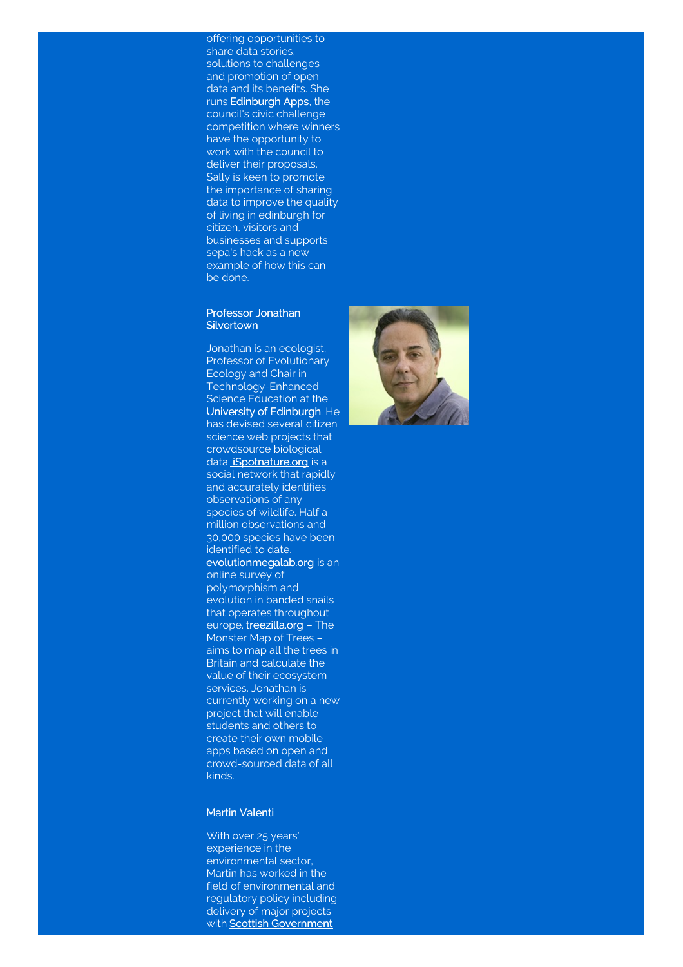offering opportunities to share data stories, solutions to challenges and promotion of open data and its benefits. She runs [Edinburgh](http://www.edinburghapps.net/) Apps, the council's civic challenge competition where winners have the opportunity to work with the council to deliver their proposals. Sally is keen to promote the importance of sharing data to improve the quality of living in edinburgh for citizen, visitors and businesses and supports sepa's hack as a new example of how this can be done.

#### Professor Jonathan **Silvertown**

Jonathan is an ecologist, Professor of Evolutionary Ecology and Chair in Technology-Enhanced Science Education at the University of [Edinburgh](http://www.ed.ac.uk/home). He has devised several citizen science web projects that crowdsource biological data. **[iSpotnature.org](http://www.ispotnature.org/communities/uk-and-ireland)** is a social network that rapidly and accurately identifies observations of any species of wildlife. Half a million observations and 30,000 species have been identified to date. [evolutionmegalab.org](http://www.evolutionmegalab.org/) is an online survey of polymorphism and evolution in banded snails that operates throughout europe. [treezilla.org](http://www.treezilla.org/) - The Monster Map of Trees – aims to map all the trees in Britain and calculate the value of their ecosystem services. Jonathan is currently working on a new project that will enable students and others to create their own mobile apps based on open and crowd-sourced data of all kinds.

#### Martin Valenti

With over 25 years' experience in the environmental sector, Martin has worked in the field of environmental and regulatory policy including delivery of major projects with **Scottish [Government](http://www.gov.scot/)** 

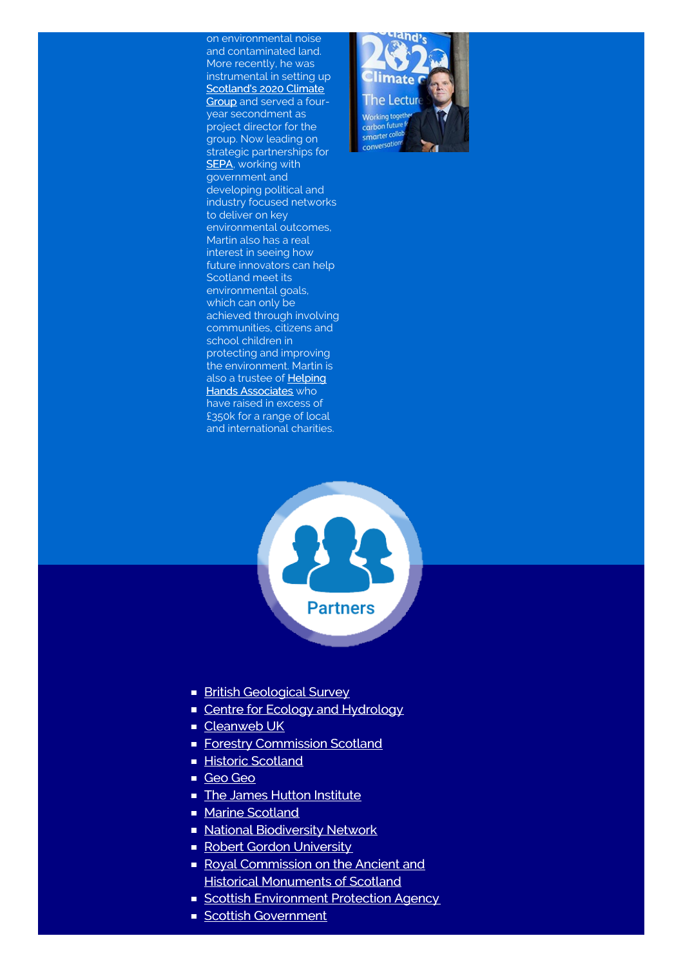on environmental noise and contaminated land. More recently, he was instrumental in setting up [Scotland's](http://www.2020climategroup.org.uk/) 2020 Climate Group and served a fouryear secondment as project director for the group. Now leading on strategic partnerships for **SEPA**, working with government and developing political and industry focused networks to deliver on key environmental outcomes, Martin also has a real interest in seeing how future innovators can help Scotland meet its environmental goals, which can only be achieved through involving communities, citizens and school children in protecting and improving the environment. Martin is also a trustee of **Helping Hands [Associates](http://www.helpinghandsassociates.org/)** who have raised in excess of £350k for a range of local and international charities.



<span id="page-9-0"></span>

- **British [Geological](http://www.bgs.ac.uk/home.html) Survey**
- **Centre for Ecology and [Hydrology](http://www.ceh.ac.uk/)**
- [Cleanweb](http://www.cleanweb.org.uk/) UK
- **Forestry [Commission](http://scotland.forestry.gov.uk/) Scotland**
- **Historic [Scotland](http://www.historic-scotland.gov.uk/)**
- [Geo](http://www.geogeoglobal.com/) Geo
- **The James Hutton [Institute](http://www.hutton.ac.uk/)**
- **Marine [Scotland](http://www.gov.scot/About/People/Directorates/marinescotland)**
- **National [Biodiversity](http://www.nbn.org.uk/) Network**
- Robert Gordon [University](http://www.rgu.ac.uk/)
- Royal [Commission](http://www.rcahms.gov.uk/) on the Ancient and **Historical Monuments of Scotland**
- **Scottish [Environment](http://www.sepa.org.uk/) Protection Agency**
- **Scottish [Government](http://www.gov.scot/)**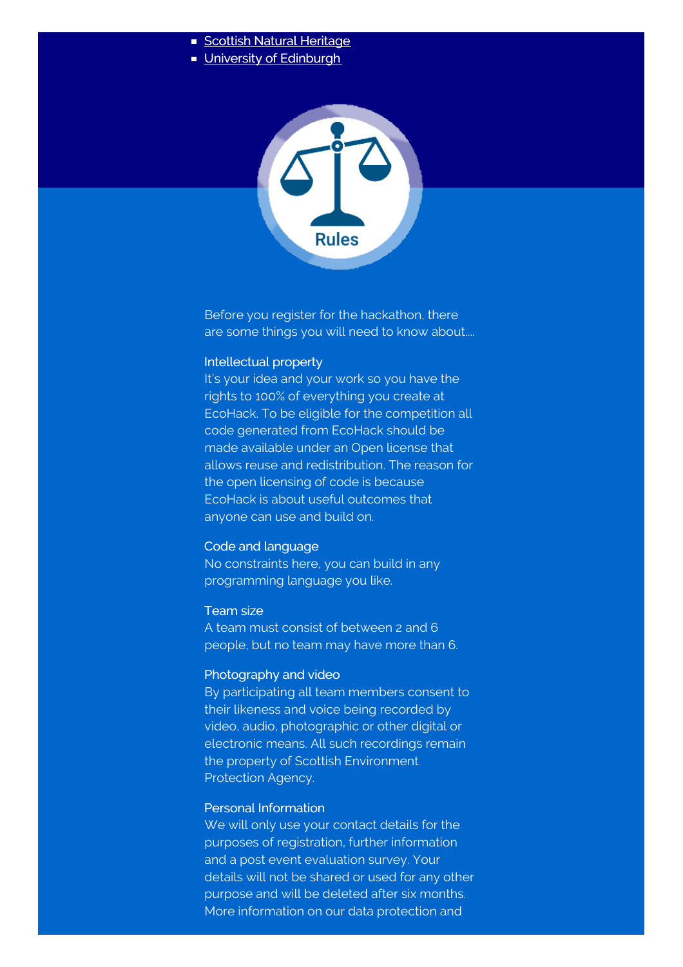- Scottish Natural [Heritage](http://www.snh.gov.uk/)
- **University of [Edinburgh](http://www.ed.ac.uk/home)**

<span id="page-10-0"></span>

Before you register for the hackathon, there are some things you will need to know about....

# Intellectual property

It's your idea and your work so you have the rights to 100% of everything you create at EcoHack. To be eligible for the competition all code generated from EcoHack should be made available under an Open license that allows reuse and redistribution. The reason for the open licensing of code is because EcoHack is about useful outcomes that anyone can use and build on.

# Code and language

No constraints here, you can build in any programming language you like.

# Team size

A team must consist of between 2 and 6 people, but no team may have more than 6.

# Photography and video

By participating all team members consent to their likeness and voice being recorded by video, audio, photographic or other digital or electronic means. All such recordings remain the property of Scottish Environment Protection Agency.

# Personal Information

We will only use your contact details for the purposes of registration, further information and a post event evaluation survey. Your details will not be shared or used for any other purpose and will be deleted after six months. More information on our data protection and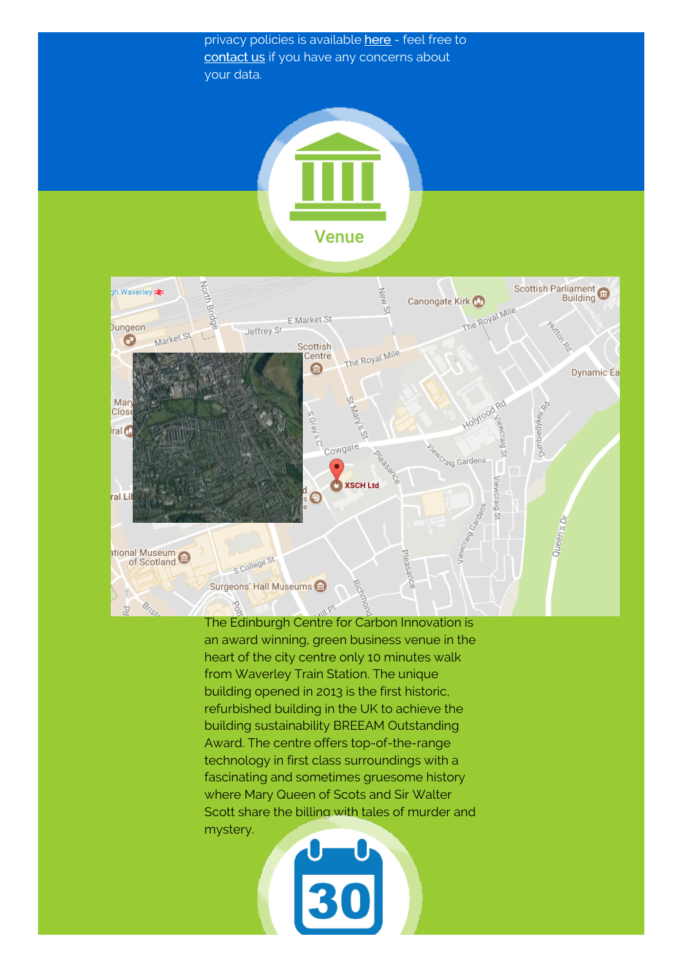privacy policies is available [here](http://www.environment.scotland.gov.uk/privacy-policy-and-cookies/) - feel free to [contact](mailto:seweb.administrator@sepa.org.uk&subject=EcoHack Event) us if you have any concerns about your data.

<span id="page-11-0"></span>



The Edinburgh Centre for Carbon Innovation is an award winning, green business venue in the heart of the city centre only 10 minutes walk from Waverley Train Station. The unique building opened in 2013 is the first historic, refurbished building in the UK to achieve the building sustainability BREEAM Outstanding Award. The centre offers top-of-the-range technology in first class surroundings with a fascinating and sometimes gruesome history where Mary Queen of Scots and Sir Walter Scott share the billing with tales of murder and mystery.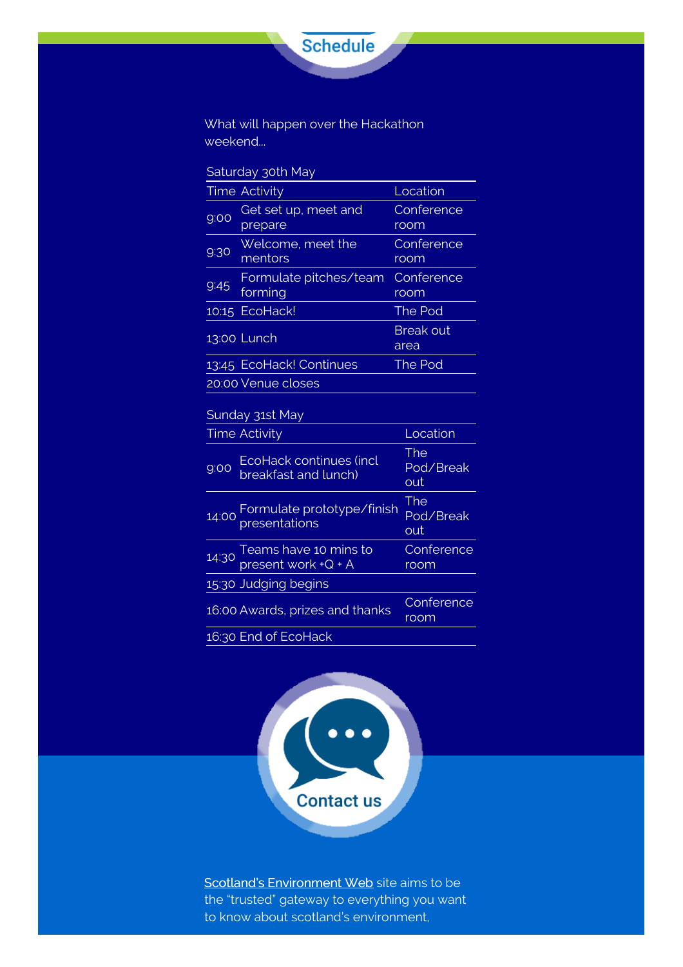<span id="page-12-0"></span>

What will happen over the Hackathon weekend...

| Saturday 30th May |  |
|-------------------|--|
|-------------------|--|

| <b>Time Activity</b> |                                   | Location                 |  |
|----------------------|-----------------------------------|--------------------------|--|
| 9:00                 | Get set up, meet and<br>prepare   | Conference<br>room       |  |
| 9:30                 | Welcome, meet the<br>mentors      | Conference<br>room       |  |
| 9:45                 | Formulate pitches/team<br>forming | Conference<br>room       |  |
|                      | 10:15 EcoHack!                    | The Pod                  |  |
| 13:00 Lunch          |                                   | <b>Break out</b><br>area |  |
|                      | 13:45 EcoHack! Continues          | The Pod                  |  |
| 20:00 Venue closes   |                                   |                          |  |

# Sunday 31st May

|      | <b>Time Activity</b>                                 | Location                |
|------|------------------------------------------------------|-------------------------|
| 9:00 | EcoHack continues (incl<br>breakfast and lunch)      | The<br>Pod/Break<br>out |
|      | 14:00 Formulate prototype/finish                     | The<br>Pod/Break<br>out |
|      | $14:30$ Teams have 10 mins to<br>present work +Q + A | Conference<br>room      |
|      | 15:30 Judging begins                                 |                         |
|      | 16:00 Awards, prizes and thanks                      | Conference<br>room      |
|      | 16:30 End of EcoHack                                 |                         |

<span id="page-12-1"></span>

Scotland's [Environment](http://www.environment.scotland.gov.uk/) Web site aims to be the "trusted" gateway to everything you want to know about scotland's environment,